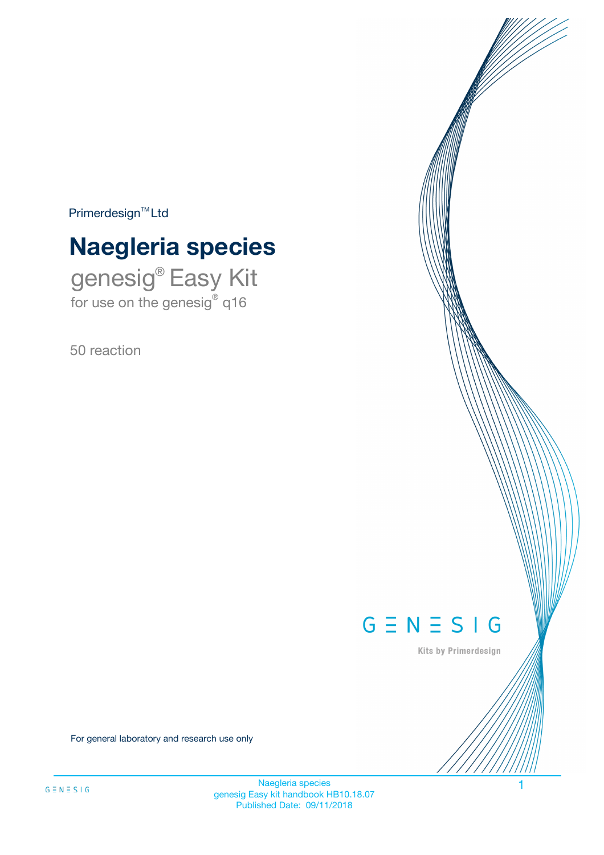$Primerdesign^{\text{TM}}Ltd$ 

# **Naegleria species**

genesig® Easy Kit for use on the genesig® q16

50 reaction



Kits by Primerdesign

For general laboratory and research use only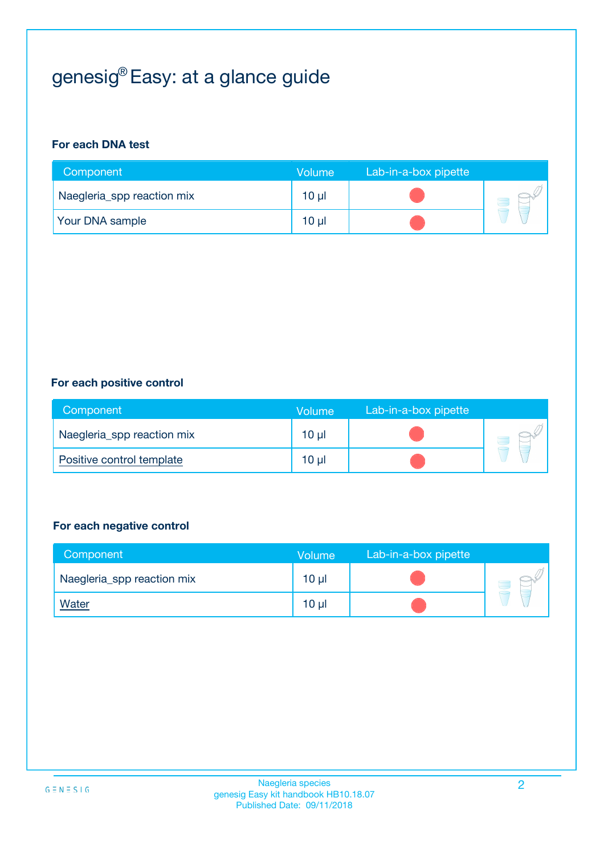# genesig® Easy: at a glance guide

#### **For each DNA test**

| Component                  | <b>Volume</b> | Lab-in-a-box pipette |  |
|----------------------------|---------------|----------------------|--|
| Naegleria_spp reaction mix | $10 \mu$      |                      |  |
| <b>Your DNA sample</b>     | 10 µl         |                      |  |

#### **For each positive control**

| Component                  | Volume          | Lab-in-a-box pipette |  |
|----------------------------|-----------------|----------------------|--|
| Naegleria_spp reaction mix | 10 <sub>µ</sub> |                      |  |
| Positive control template  | 10 <sub>µ</sub> |                      |  |

#### **For each negative control**

| Component                  | Volume          | Lab-in-a-box pipette |  |
|----------------------------|-----------------|----------------------|--|
| Naegleria_spp reaction mix | 10 <sub>µ</sub> |                      |  |
| <b>Water</b>               | 10 <sub>µ</sub> |                      |  |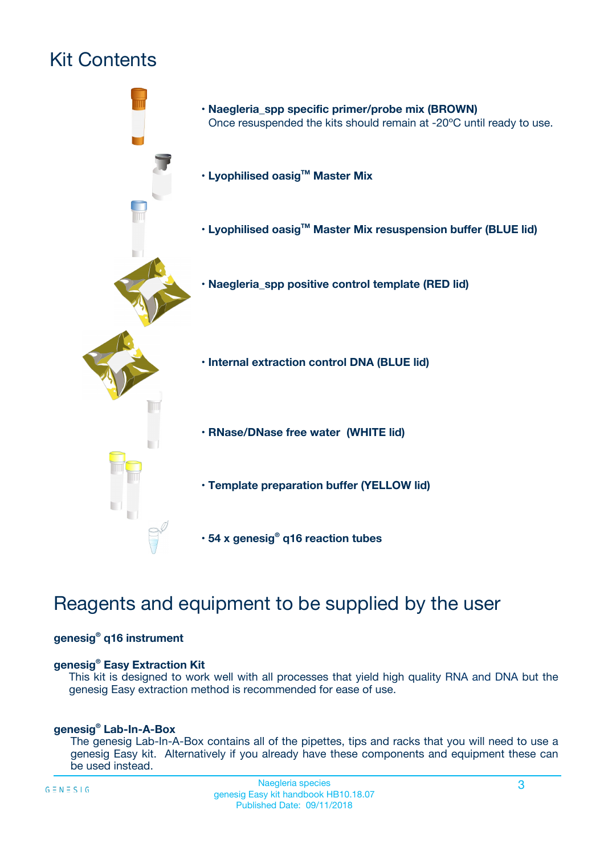# Kit Contents



## Reagents and equipment to be supplied by the user

#### **genesig® q16 instrument**

#### **genesig® Easy Extraction Kit**

This kit is designed to work well with all processes that yield high quality RNA and DNA but the genesig Easy extraction method is recommended for ease of use.

#### **genesig® Lab-In-A-Box**

The genesig Lab-In-A-Box contains all of the pipettes, tips and racks that you will need to use a genesig Easy kit. Alternatively if you already have these components and equipment these can be used instead.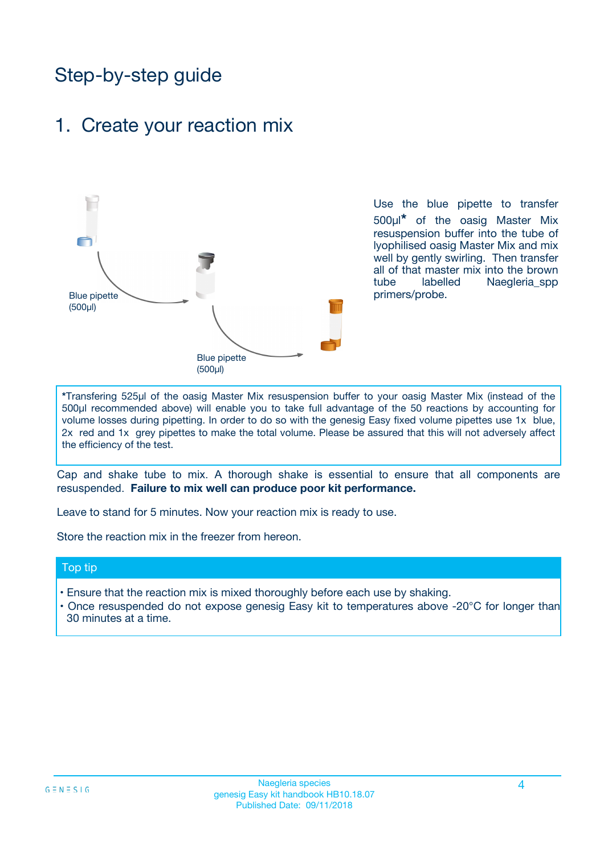## Step-by-step guide

### 1. Create your reaction mix



Use the blue pipette to transfer 500µl**\*** of the oasig Master Mix resuspension buffer into the tube of lyophilised oasig Master Mix and mix well by gently swirling. Then transfer all of that master mix into the brown tube labelled Naegleria spp primers/probe.

**\***Transfering 525µl of the oasig Master Mix resuspension buffer to your oasig Master Mix (instead of the 500µl recommended above) will enable you to take full advantage of the 50 reactions by accounting for volume losses during pipetting. In order to do so with the genesig Easy fixed volume pipettes use 1x blue, 2x red and 1x grey pipettes to make the total volume. Please be assured that this will not adversely affect the efficiency of the test.

Cap and shake tube to mix. A thorough shake is essential to ensure that all components are resuspended. **Failure to mix well can produce poor kit performance.**

Leave to stand for 5 minutes. Now your reaction mix is ready to use.

Store the reaction mix in the freezer from hereon.

#### Top tip

- Ensure that the reaction mix is mixed thoroughly before each use by shaking.
- **•** Once resuspended do not expose genesig Easy kit to temperatures above -20°C for longer than 30 minutes at a time.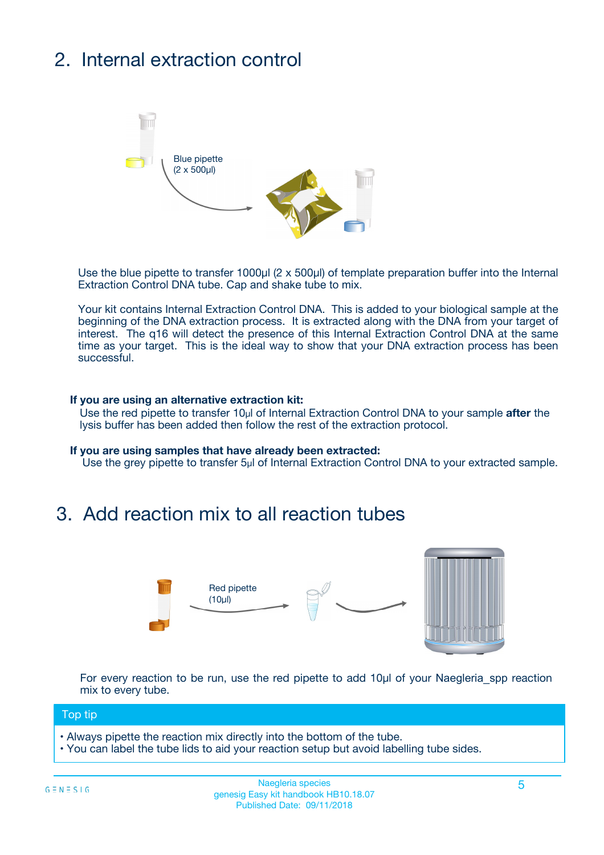# 2. Internal extraction control



Use the blue pipette to transfer 1000µl (2 x 500µl) of template preparation buffer into the Internal Extraction Control DNA tube. Cap and shake tube to mix.

Your kit contains Internal Extraction Control DNA. This is added to your biological sample at the beginning of the DNA extraction process. It is extracted along with the DNA from your target of interest. The q16 will detect the presence of this Internal Extraction Control DNA at the same time as your target. This is the ideal way to show that your DNA extraction process has been successful.

#### **If you are using an alternative extraction kit:**

Use the red pipette to transfer 10µl of Internal Extraction Control DNA to your sample **after** the lysis buffer has been added then follow the rest of the extraction protocol.

#### **If you are using samples that have already been extracted:**

Use the grey pipette to transfer 5µl of Internal Extraction Control DNA to your extracted sample.

## 3. Add reaction mix to all reaction tubes



For every reaction to be run, use the red pipette to add 10µl of your Naegleria\_spp reaction mix to every tube.

#### Top tip

- Always pipette the reaction mix directly into the bottom of the tube.
- You can label the tube lids to aid your reaction setup but avoid labelling tube sides.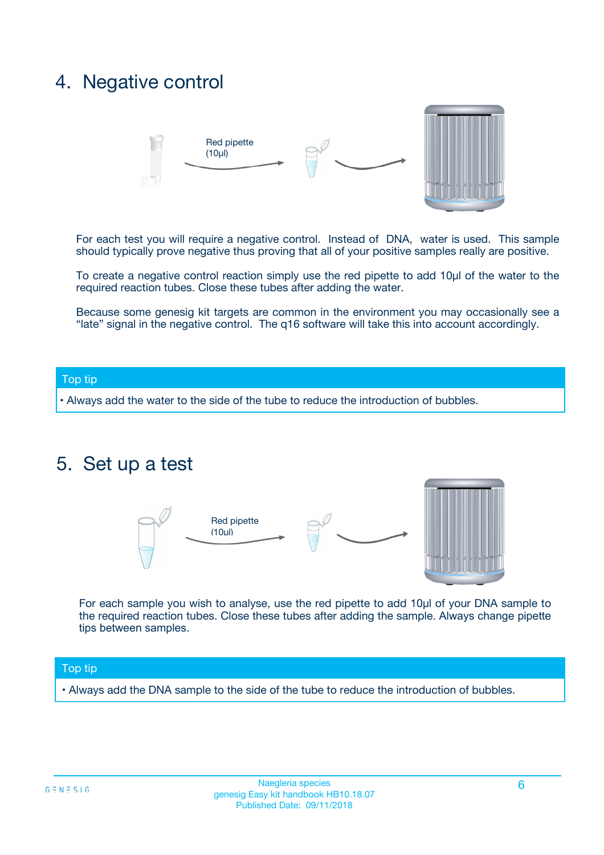## 4. Negative control



For each test you will require a negative control. Instead of DNA, water is used. This sample should typically prove negative thus proving that all of your positive samples really are positive.

To create a negative control reaction simply use the red pipette to add 10µl of the water to the required reaction tubes. Close these tubes after adding the water.

Because some genesig kit targets are common in the environment you may occasionally see a "late" signal in the negative control. The q16 software will take this into account accordingly.

#### Top tip

**•** Always add the water to the side of the tube to reduce the introduction of bubbles.

### 5. Set up a test



For each sample you wish to analyse, use the red pipette to add 10µl of your DNA sample to the required reaction tubes. Close these tubes after adding the sample. Always change pipette tips between samples.

#### Top tip

**•** Always add the DNA sample to the side of the tube to reduce the introduction of bubbles.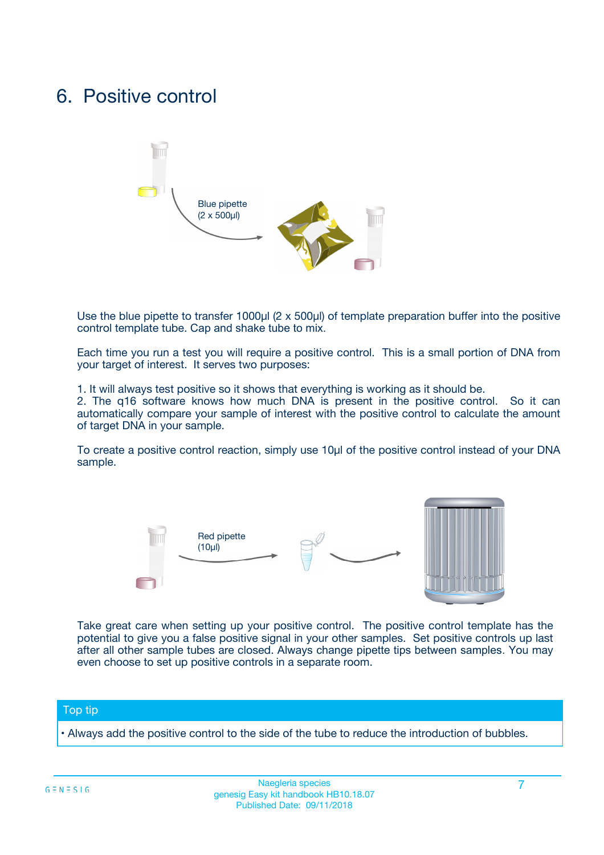## 6. Positive control



Use the blue pipette to transfer 1000µl (2 x 500µl) of template preparation buffer into the positive control template tube. Cap and shake tube to mix.

Each time you run a test you will require a positive control. This is a small portion of DNA from your target of interest. It serves two purposes:

1. It will always test positive so it shows that everything is working as it should be.

2. The q16 software knows how much DNA is present in the positive control. So it can automatically compare your sample of interest with the positive control to calculate the amount of target DNA in your sample.

To create a positive control reaction, simply use 10µl of the positive control instead of your DNA sample.



Take great care when setting up your positive control. The positive control template has the potential to give you a false positive signal in your other samples. Set positive controls up last after all other sample tubes are closed. Always change pipette tips between samples. You may even choose to set up positive controls in a separate room.

#### Top tip

**•** Always add the positive control to the side of the tube to reduce the introduction of bubbles.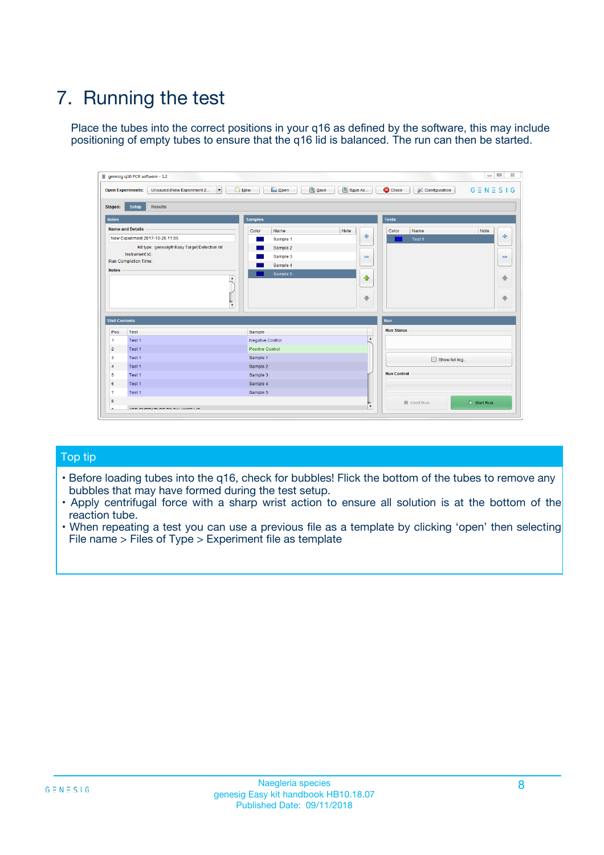# 7. Running the test

Place the tubes into the correct positions in your q16 as defined by the software, this may include positioning of empty tubes to ensure that the q16 lid is balanced. The run can then be started.

| qenesig q16 PCR software - 1.2                                               |                                   | $\Box$                                                                                          |
|------------------------------------------------------------------------------|-----------------------------------|-------------------------------------------------------------------------------------------------|
| $\vert \cdot \vert$<br>Unsaved (New Experiment 2<br><b>Open Experiments:</b> | <b>D</b> Open<br>R <sub>New</sub> | Save<br>Save As<br><b>C</b> Close<br><b>&amp; Configuration</b><br>$G \equiv N \equiv S \mid G$ |
| <b>Setup</b><br><b>Results</b><br>Stages:                                    |                                   |                                                                                                 |
| <b>Notes</b>                                                                 | <b>Samples</b>                    | <b>Tests</b>                                                                                    |
| <b>Name and Details</b>                                                      | Name<br>Color                     | Note<br>Color<br>Note<br>Name                                                                   |
| New Experiment 2017-10-26 11:06                                              | Sample 1                          | ÷<br>条<br>Test 1                                                                                |
| Kit type: genesig® Easy Target Detection kit                                 | Sample 2                          |                                                                                                 |
| Instrument Id.:                                                              | Sample 3                          | $\qquad \qquad \blacksquare$<br>$\qquad \qquad \blacksquare$                                    |
| <b>Run Completion Time:</b>                                                  | Sample 4                          |                                                                                                 |
| <b>Notes</b><br><b>A</b><br>$\overline{\mathbf v}$                           | Sample 5                          | ♦<br>4<br>÷<br>₩                                                                                |
| <b>Well Contents</b>                                                         |                                   | <b>Run</b>                                                                                      |
| Pos.<br>Test                                                                 | Sample                            | <b>Run Status</b>                                                                               |
| Test 1<br>$\blacktriangleleft$                                               | Negative Control                  | $\blacktriangle$                                                                                |
| $\overline{2}$<br>Test 1                                                     | <b>Positive Control</b>           |                                                                                                 |
| $\overline{\mathbf{3}}$<br>Test 1                                            | Sample 1                          | Show full log                                                                                   |
| Test 1<br>4                                                                  | Sample 2                          |                                                                                                 |
| 5<br>Test 1                                                                  | Sample 3                          | <b>Run Control</b>                                                                              |
| Test 1<br>6                                                                  | Sample 4                          |                                                                                                 |
| $\overline{7}$<br>Test 1                                                     | Sample 5                          |                                                                                                 |
| 8                                                                            |                                   | $\triangleright$ Start Run<br>Abort Run                                                         |
| <b>JOD FURTY TUDE TO BUILDED IN</b>                                          |                                   | $\overline{\mathbf{v}}$                                                                         |

#### Top tip

- Before loading tubes into the q16, check for bubbles! Flick the bottom of the tubes to remove any bubbles that may have formed during the test setup.
- Apply centrifugal force with a sharp wrist action to ensure all solution is at the bottom of the reaction tube.
- When repeating a test you can use a previous file as a template by clicking 'open' then selecting File name > Files of Type > Experiment file as template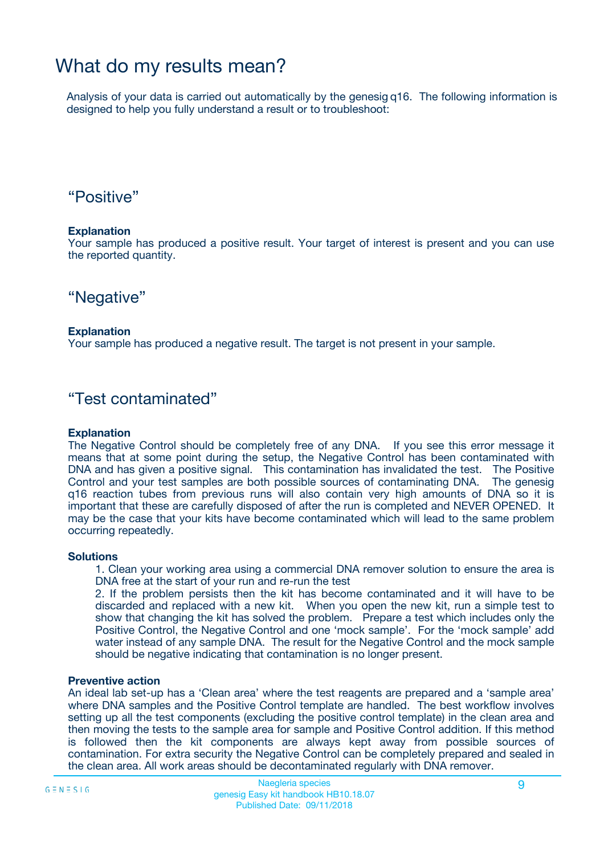## What do my results mean?

Analysis of your data is carried out automatically by the genesig q16. The following information is designed to help you fully understand a result or to troubleshoot:

### "Positive"

#### **Explanation**

Your sample has produced a positive result. Your target of interest is present and you can use the reported quantity.

"Negative"

#### **Explanation**

Your sample has produced a negative result. The target is not present in your sample.

### "Test contaminated"

#### **Explanation**

The Negative Control should be completely free of any DNA. If you see this error message it means that at some point during the setup, the Negative Control has been contaminated with DNA and has given a positive signal. This contamination has invalidated the test. The Positive Control and your test samples are both possible sources of contaminating DNA. The genesig q16 reaction tubes from previous runs will also contain very high amounts of DNA so it is important that these are carefully disposed of after the run is completed and NEVER OPENED. It may be the case that your kits have become contaminated which will lead to the same problem occurring repeatedly.

#### **Solutions**

1. Clean your working area using a commercial DNA remover solution to ensure the area is DNA free at the start of your run and re-run the test

2. If the problem persists then the kit has become contaminated and it will have to be discarded and replaced with a new kit. When you open the new kit, run a simple test to show that changing the kit has solved the problem. Prepare a test which includes only the Positive Control, the Negative Control and one 'mock sample'. For the 'mock sample' add water instead of any sample DNA. The result for the Negative Control and the mock sample should be negative indicating that contamination is no longer present.

#### **Preventive action**

An ideal lab set-up has a 'Clean area' where the test reagents are prepared and a 'sample area' where DNA samples and the Positive Control template are handled. The best workflow involves setting up all the test components (excluding the positive control template) in the clean area and then moving the tests to the sample area for sample and Positive Control addition. If this method is followed then the kit components are always kept away from possible sources of contamination. For extra security the Negative Control can be completely prepared and sealed in the clean area. All work areas should be decontaminated regularly with DNA remover.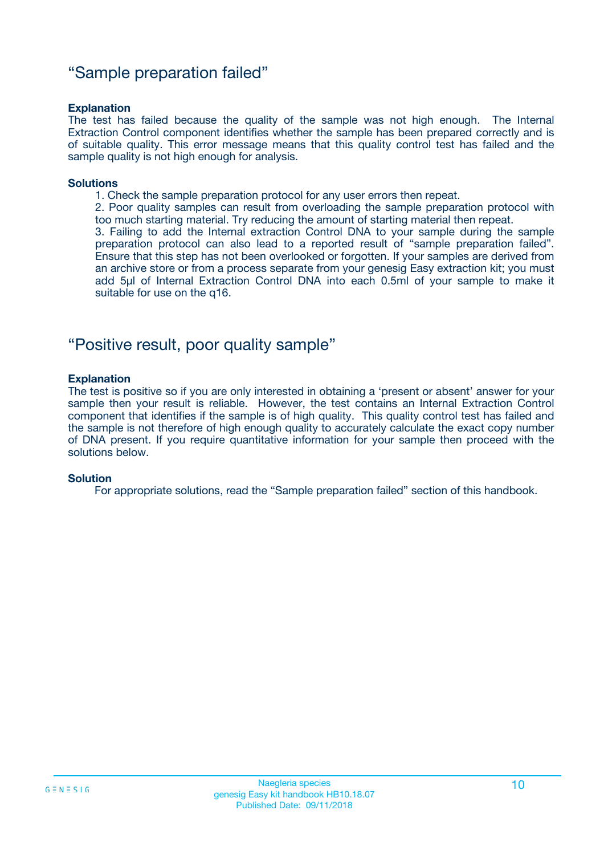### "Sample preparation failed"

#### **Explanation**

The test has failed because the quality of the sample was not high enough. The Internal Extraction Control component identifies whether the sample has been prepared correctly and is of suitable quality. This error message means that this quality control test has failed and the sample quality is not high enough for analysis.

#### **Solutions**

1. Check the sample preparation protocol for any user errors then repeat.

2. Poor quality samples can result from overloading the sample preparation protocol with too much starting material. Try reducing the amount of starting material then repeat.

3. Failing to add the Internal extraction Control DNA to your sample during the sample preparation protocol can also lead to a reported result of "sample preparation failed". Ensure that this step has not been overlooked or forgotten. If your samples are derived from an archive store or from a process separate from your genesig Easy extraction kit; you must add 5µl of Internal Extraction Control DNA into each 0.5ml of your sample to make it suitable for use on the q16.

### "Positive result, poor quality sample"

#### **Explanation**

The test is positive so if you are only interested in obtaining a 'present or absent' answer for your sample then your result is reliable. However, the test contains an Internal Extraction Control component that identifies if the sample is of high quality. This quality control test has failed and the sample is not therefore of high enough quality to accurately calculate the exact copy number of DNA present. If you require quantitative information for your sample then proceed with the solutions below.

#### **Solution**

For appropriate solutions, read the "Sample preparation failed" section of this handbook.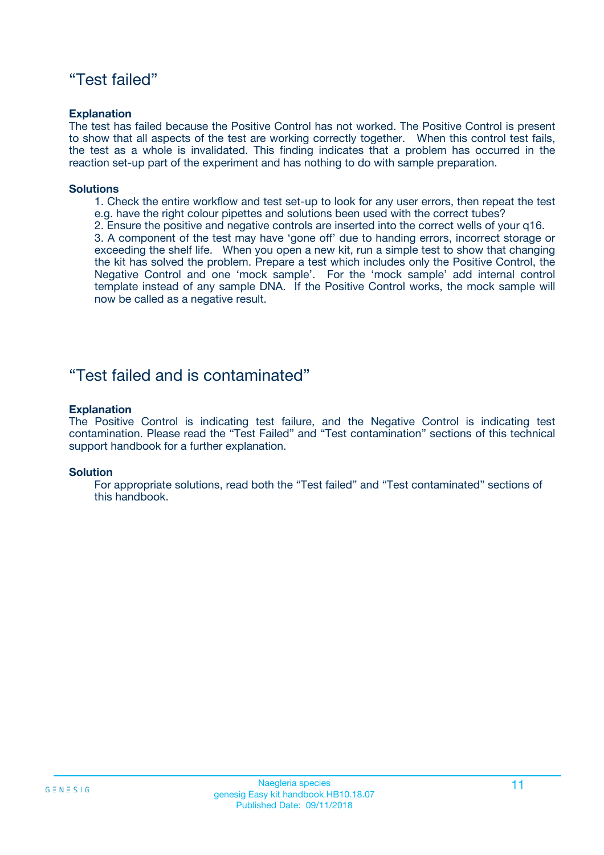### "Test failed"

#### **Explanation**

The test has failed because the Positive Control has not worked. The Positive Control is present to show that all aspects of the test are working correctly together. When this control test fails, the test as a whole is invalidated. This finding indicates that a problem has occurred in the reaction set-up part of the experiment and has nothing to do with sample preparation.

#### **Solutions**

- 1. Check the entire workflow and test set-up to look for any user errors, then repeat the test e.g. have the right colour pipettes and solutions been used with the correct tubes?
- 2. Ensure the positive and negative controls are inserted into the correct wells of your q16.

3. A component of the test may have 'gone off' due to handing errors, incorrect storage or exceeding the shelf life. When you open a new kit, run a simple test to show that changing the kit has solved the problem. Prepare a test which includes only the Positive Control, the Negative Control and one 'mock sample'. For the 'mock sample' add internal control template instead of any sample DNA. If the Positive Control works, the mock sample will now be called as a negative result.

### "Test failed and is contaminated"

#### **Explanation**

The Positive Control is indicating test failure, and the Negative Control is indicating test contamination. Please read the "Test Failed" and "Test contamination" sections of this technical support handbook for a further explanation.

#### **Solution**

For appropriate solutions, read both the "Test failed" and "Test contaminated" sections of this handbook.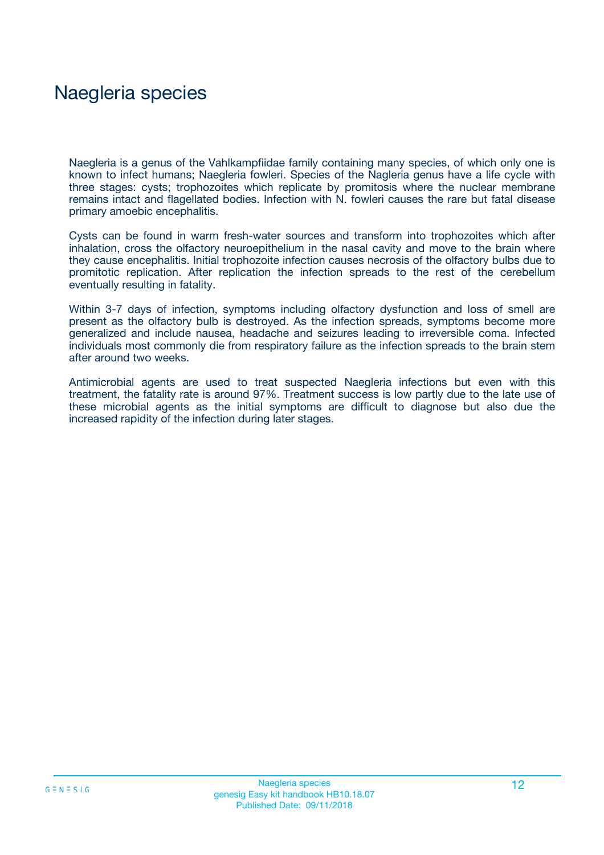## Naegleria species

Naegleria is a genus of the Vahlkampfiidae family containing many species, of which only one is known to infect humans; Naegleria fowleri. Species of the Nagleria genus have a life cycle with three stages: cysts; trophozoites which replicate by promitosis where the nuclear membrane remains intact and flagellated bodies. Infection with N. fowleri causes the rare but fatal disease primary amoebic encephalitis.

Cysts can be found in warm fresh-water sources and transform into trophozoites which after inhalation, cross the olfactory neuroepithelium in the nasal cavity and move to the brain where they cause encephalitis. Initial trophozoite infection causes necrosis of the olfactory bulbs due to promitotic replication. After replication the infection spreads to the rest of the cerebellum eventually resulting in fatality.

Within 3-7 days of infection, symptoms including olfactory dysfunction and loss of smell are present as the olfactory bulb is destroyed. As the infection spreads, symptoms become more generalized and include nausea, headache and seizures leading to irreversible coma. Infected individuals most commonly die from respiratory failure as the infection spreads to the brain stem after around two weeks.

Antimicrobial agents are used to treat suspected Naegleria infections but even with this treatment, the fatality rate is around 97%. Treatment success is low partly due to the late use of these microbial agents as the initial symptoms are difficult to diagnose but also due the increased rapidity of the infection during later stages.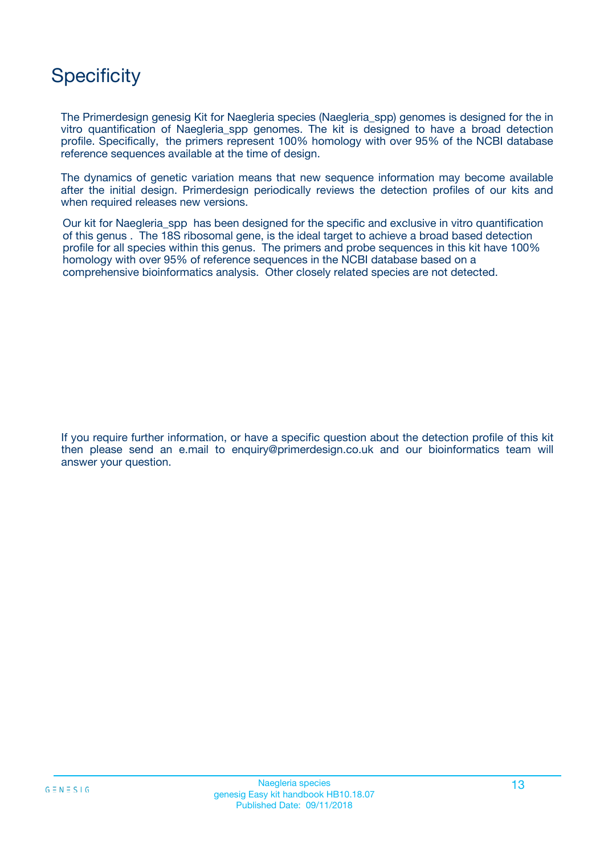## **Specificity**

The Primerdesign genesig Kit for Naegleria species (Naegleria\_spp) genomes is designed for the in vitro quantification of Naegleria\_spp genomes. The kit is designed to have a broad detection profile. Specifically, the primers represent 100% homology with over 95% of the NCBI database reference sequences available at the time of design.

The dynamics of genetic variation means that new sequence information may become available after the initial design. Primerdesign periodically reviews the detection profiles of our kits and when required releases new versions.

Our kit for Naegleria\_spp has been designed for the specific and exclusive in vitro quantification of this genus . The 18S ribosomal gene, is the ideal target to achieve a broad based detection profile for all species within this genus. The primers and probe sequences in this kit have 100% homology with over 95% of reference sequences in the NCBI database based on a comprehensive bioinformatics analysis. Other closely related species are not detected.

If you require further information, or have a specific question about the detection profile of this kit then please send an e.mail to enquiry@primerdesign.co.uk and our bioinformatics team will answer your question.